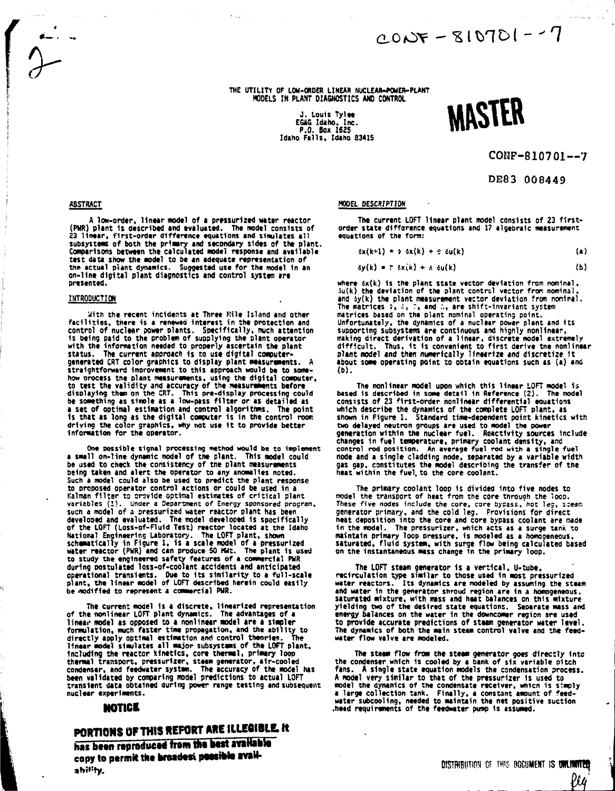**THE UTILITY OF LOU-ORDER LINEAR NUCLEAR-WWER-PLANT MODELS IN PLANT DIAGNOSTICS AM) CONTROL**

**<sup>J</sup> . Louis Tylt t EGaG Idaho, Inc. P.O. Box 1625 Idaho Fills , Idaho 83415**



 $0.2 - 10701 - 7200$ 

**CONF-810701--7**

**DE83 008449**

#### **ABSTRACT**

**A low-order, linear model of a pressurized water reactor (PMR) plant 1s described and evaluated. The model consists of 23 linear, first-order difference equations and simulates all subsystems of both the primary and secondary sides of the plant. Comparisons between the calculated model response and available test data show the model to be an adequate representation of the actual plant dynamics. Suggested use for the model in an on-line digital plant diagnostics and control system arc presented.**

#### **INTRODUCTION**

**Uith the recent incidents at Three Kile Island and other facilities, there is a renewed interest in the protection and control of nuclear sower plants. Specifically, much attention 1s being paid to the problem of supplying the plant operator with the information needed to properly ascertain the plant status. The current approach Is to use digital computergenerated CRT color graphics to display plant measurements. A** straightforward improvement to this approach would be to some**how process the plant measurements, using the digital computer, to test the validity and accuracy of the measurements before displaying than on the CRT. This pre-display processing could be something as sinole as a low-pass filte r or as detailed as a set of optimal estimation and control algorithms. The point is that as long as the digital computer is in the control room driving the color graphics, why not use 1t to provide better information for the operator.**

**One possible signal processing method would be to implement a small on-line dynamic model of the plant. This model could be used to check the consistency of tne plant measurements being taken and alert the operator to any anomalies noted. Such a model could also be used to predict the plant response to proposed operator control actions or could be used in a Kalman filte r ts arovide optimal estimates of critical plant variables (I) . Under a Department of Energy sponsored program, such a model of i pressurized water rsactor plant has been developed and evaluated. The model developed is specifically of the LOFT (Loss-of-Fluid Test) reactor located at the Idaho National Engineering Laboratory. The LOFT plant, shown schematically in Figure 1, is a scale model of a pressurized water reactor (PWR) and can produce SO Kit. The plant 1s used to study the engineered safety features of a commercial PUR during postulated loss-of-coolant accidents and anticipated operational transients. Due to Its similarity to i full-scale plant, the linear model of LOFT described herein could easily** be modified to represent a commercial PWR.

**The current model 1s a discrete, linearized representation of the nonlinear LOFT plant dynamics. The advantages of a linear model as opposed to a nonlinear model are a simpler formulation, much faster time propagation, and the ability to directly apply optimal estimation and control theories. The linear model simulates all major subsystems of the LOFT plant. Including the reactor kinetics, core thermal, primary loop thermal transport, pressurizer, steam generator, air-cooled condenser, and feedwater system. The accuracy of the model has been validated by comparing model predictions to actual LOFT transient data obtained during power range testing and subsequent nuclear experiments.**

## **NOTICE**

# **PORTIONS OF THIS REFORT ARE ILLEGIBLE. It**

has been reproduced from the best available copy to permit the braadest possible availability.

#### **HOOEl DESCRIPTION**

**The current LOFT linear plant model consists of 23 firstorder state difference equations and 17 algebraic measurement equations of the form:**

$$
\delta x(k+1) = \delta \delta x(k) + \epsilon \delta u(k) \qquad (a)
$$

$$
\delta y(k) = r \delta x(k) + \Delta \delta u(k) \qquad (b)
$$

where  $6x(k)$  is the plant state vector deviation from nominal, **5u(k) the deviation of the plant control vector from nominal, and iy(k) the plant measurement vector deviation from noninal. The matrices :, J, :, and ."., are shift-invariant system matrices based on the plant nominal operating point.** unfortunately, the dynamics of a nuclear power plant and its<br>supporting subsystems are continuous and highly nonlinear,<br>making direct derivation of a linear, discrete model extremely<br>difficult. Thus, it is convenient to fi **about some operating point to obtain equations such as (a) and (b).**

**The nonlinear model upon which this linear LOFT model is based is described in some detail in Reference (2). The model consists of 23 first-order nonlinear differential equations which describe the dynamics of the complete LOFT plant, as shown in Figure 1. Standard time-dependent point kinetics with two delayed neutron groups are used to model the power generation within the nuclear fuel. Reactivity sources Include changes in fuel temperature, primary coolant density, and control rod position. An average fuel rod with a single fuel node and a single cladding node, separated by a variable width gas gap, constitutes the model describing the transfer of the heat within the fuel, to the core coolant.**

**The primary coolant loop is divided into five nodes to model the transport of heat from the core through the loos. These five nodes include the core, core bypass, hot leg, 3:ean generator primary, and the cold leg. Provisions for direct heat deposition into the core and core bypass coolant are made in the model. The pressurizer, Mtiich acts as a surge tank to maintain primary loop pressure, 1s modeled as a homogeneous, saturated, fluid system, with surge flow being calculated based on the Instantaneous mass change in the primary loop.**

**The LOFT steam generator is a vertical. U-tube, rccirculation type similar to those used in most pressurized water reactors. Its dynamics are nodeled by assuming the steam and water in the generator shroud region are In a homogeneous, saturated mixture, with mass and heat balances on this mixture yielding two of the desired state equations. Separate mass and energy balances on the water in the downcomer region are used to provide accurate predictions of stem generator water level. The dynamics of both the main steam control valve and the feedwater flow valve are modeled.**

**The steaa flow from the steam generator goes directly into the condenser which is cooled by a bank of six variable pitch fans. A single state equation models the condensation process. A nodel very similar to that of the pressurizer is used to model the dynamics of the condensate receiver, whicn is simply a large collection tank. Finally, a constant amount of feedwater subcooling, needed to maintain the net positive suction** head requirements of the feedwater pump is assumed.

lU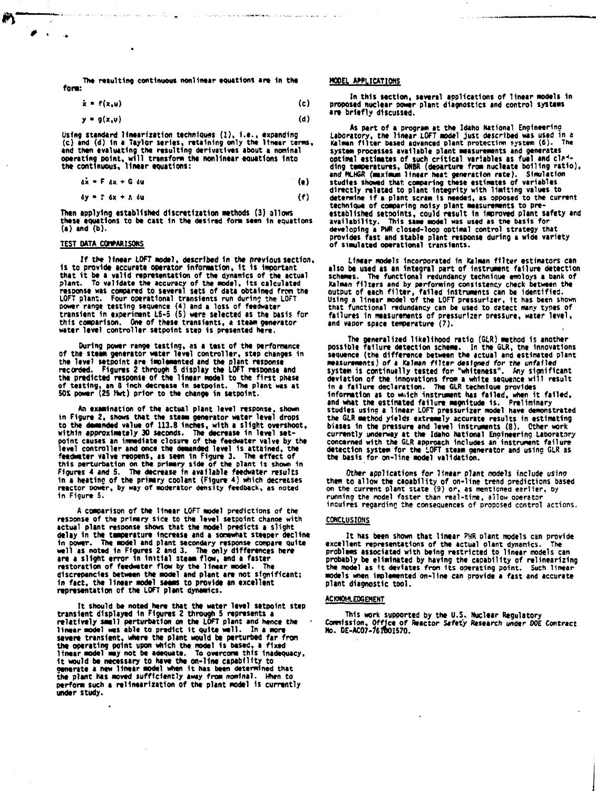The resulting continuous nonlinear equations **are** In the font:

$$
\dot{x} = f(x, u) \tag{c}
$$

$$
y = g(x, \nu) \tag{d}
$$

Using standard linearization techniques (1), 1.e., expanding<br>(c) and (d) in a Taylor series, retaining only the linear terms,<br>and then evaluating the resulting derivatives about a nominal<br>operating point, will transform th

$$
\delta \dot{x} = F \delta x + G \delta u \tag{e}
$$

$$
\delta y = \Gamma \delta x + \Lambda \delta u \tag{f}
$$

**Then applying established discretization methods (3) allows these equations to be cast In the desired form seen in equations (a) and (b).**

#### **TEST DATA COMPARISONS**

ø  $\sim$ 

> **If the linear LOFT model, described 1n the previous section. Is to provide accurate operator Information, 1t 1s Important that it be a valid representation of the dynamics of the actual** plant. To validate the accuracy of the model, its calculated<br>response was compared to several sets of data obtained from the<br>LOFT plant. Four operational transients run during the LOFT<br>Dower range testing sequence (4) and **this comparison. One of these transients, a steam generator water level controller setpoint step is presented here.**

**During power range testing, as a test of the performance** of the steam generator water level controller, step changes in<br>the level setpoint are implemented and the plant response<br>recorded. Figures 2 through 5 display the LOFT response and<br>the predicted response of the linear mode **of testing, an 8 Inch decrease 1n setpoint. The plant was at 50X power (25 Hwt) prior to the change in setpoint.**

**An examination of the actual plant level response, shown In Figure 2, shows that the steam generator water level drops to the demanded value of 113.8 Inches, with a slight overshoot, within approximately 30 seconds. The decrease in level setpoint causes an immediate closure of the feedwater valve by the** level controller and once the demanded level is attained, the<br>feedwater valve reopens, as seen in Figure 3. The effect of<br>this perturbation on the primary side of the plant is shown in<br>Figures 4 and 5. The decrease in avai **in a heatine of the primary coolant (Figure 4} which decreases reactor power, by way of moderator density feedback, as noted in Figure 5.**

**A comparison of the linear LOFT model predictions of the response of the primary sice to the level setpoint chanpe with actual plant response shows that the model predicts a slight delay in the temperature increase and a sonewhat steeper decline in power. The model and plant secondary response compare quite well as noted in Figures 2 and 3. The only differences here are a slight error in initial steam flow, and a faster restoration of feedwatcr flow by the linear model. The discrepancies between the model and plant are not significant; in fact, the linear model seems to provide an excellent representation of the LOFT plant dynamics.**

**It should be noted here that the water level setpoint step transient displayed In Figures 2 through 5 represents a relatively smell perturbation on the LOFT plant and hence the linear model wes able to predict it quite well. In a more** severe transient, where the plant would be perturbed far from<br>the operating point upon which the model is based, a fixed<br>linear model may not be adequate. To overcome this inadequacy,<br>it would be necessary to have the on-l **the plant has moved sufficiently away from nominal. When to perform such a ^linearization of the plant model is currently under study.**

#### **HOOEL AWLICATIOHS**

**In this section, several applications of linear models In proposed nuclear power plant diagnostics and control systems are briefly discussed.**

**As part of a program at the Idaho National Engineering Laboratory, the linear LOFT model just described was used in e ftlmen filter based advanced plant protection system (6). The** system processes available plant measurements and generates<br>optimal estimates of such critical variables as fuel and clad-<br>and MuHGR (maximum linear heat generation nucleate bolling ratio),<br>and MuHGR (maximum linear heat g **determine if a plant scram Is needed, as opposed to the current technique of comparing noisy plant measurements to preestablished setpoints, could result 1n Improved plant safety and availability. This same model was used as the basis for developing a PHR closed-loop optimal control strategy that provides fast and stable plant response during a wide variety of simulated operational transients.**

**Linear models Incorporated in Kalman filter estimators can also be used as an integral part of Instrument failure detection** schemes. The functional redundancy technique emoloys a bank of<br>Kalman filters and by performing consistency check between the<br>output of each filter, failed instruments can be identified.<br>Using a linear model of the LOFT pr **that functional redundancy can be used to detect many types of failures in measurements of pressurizer pressure, water level, and vapor space temperature (7).**

**The generalized likelihood ratio (GLR) method is another possible failure detection scheme. In the SLR, the innovations sequence (the difference between the actual and estimated plant measurements) of a Kalman filter designed for the unfafled system is continually tested for "whiteness". Any significant deviation of the Innovations from a white sequence will result in a failure declaration. The GLR technique provides information as to which instrument has failed, when it failed, and what the estimated failure magnitude is. Preliminary studies using a linear LOFT pressurizer model have demonstrated** the GLR method yields extremely accurate results in estimating<br>biases in the pressure and level instruments (8). Other work<br>currently underway at the Idaho National Engineering Laboratory<br>concerned with the GLR approach in

Uther applications for linear plant models include using<br>them to allow the capability of on-line trend predictions based<br>on the current plant state (9) or, as mentioned earlier, by<br>running the model faster than real-time,

#### **CONCLUSIONS**

**It has been shown that linear PWR plant models can provide** excellent representations of the actual plant dynamics. **problems associated with being restricted to linear models can probably be eliminated by having the capability of relinearizing the model as It deviates from Its operating point. Such linear models when implemented on-line can provide a fast and accurate plant diagnostic tool.**

#### **ACKNOWLEDGEMENT**

**This work supported by the U.S. Nuclear Regulatory Commission, Office of Reactor Safety Research under OOE Contract No. 0E-ACO7-7eftO157O.**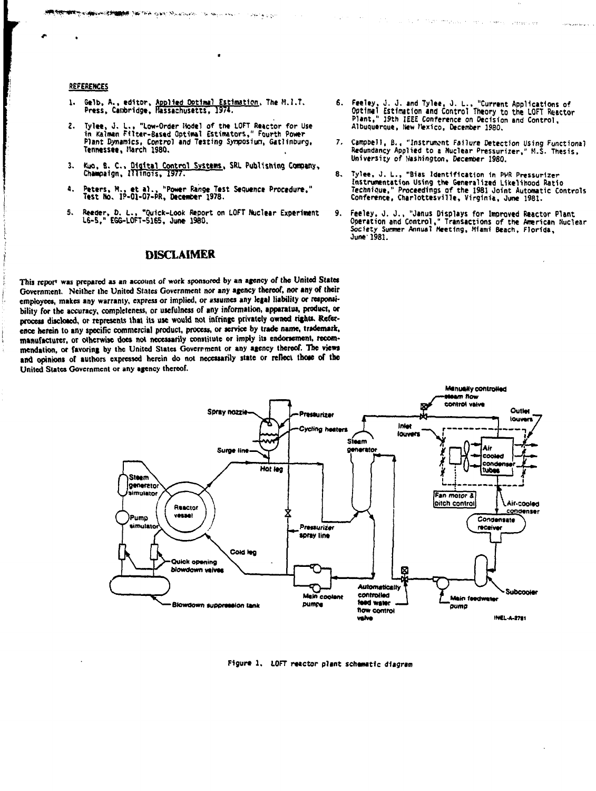### **REFERENCES**

Gelb, A., editor, Applied Optimal Estimation, The M.I.T.<br>Press, Cambridge, Hassachusetts, 1974. 1.

**ARE AN ARTICLE OF THE THE AREA DESCRIPTION OF ARTICLE AND ARTICLE AND ARTICLE OF THE ARTICLE AND ARTICLE AND A** 

- Tylee, J. L., "Low-Order Hodel of the LOFT Reactor for Us<br>in Kalman Filter-Based Optimal Estimators," Fourth Power ., "Low-Order Hodel of the LOFT Reactor for Use  $\overline{\mathbf{z}}$ . Plant Dynamics, Control and Testing Symposium, Gatlinburg, Tennessee, March 1980.
- Kuo, B. C., <u>Oigital Control Systems</u>, SRL Publishing Company,<br>Champaign, Illinois, 1977.  $3.$
- Peters, M., et al., "Power Range Test Sequence Procedure,"<br>Test No. IP-01-07-PR, December 1978.  $\mathbf{a}$
- Reeder, D. L., "Quick-Look Report on LOFT Muclear Experiment<br>L6-5," EGG-LOFT-5165, June 1980.  $5.$

## **DISCLAIMER**

This report was prepared as an account of work sponsored by an agency of the United States Government. Neither the United States Government nor any agency thereof, nor any of their employees, makes any warranty, express or implied, or assumes any legal liability or reaponsibility for the accuracy, completeness, or usefulness of any information, apparatus, product, or process disclosed, or represents that its use would not infringe privately owned rights. Reference herein to any specific commercial product, process, or service by trade name, trademark, manufacturer, or otherwise does not necessarily constitute or imply its endorsement, recommendation, or favoring by the United States Government or any agency thereof. The views and opinions of authors expressed herein do not necessarily state or reflect those of the United States Government or any agency thereof.

6. Feeley, J. J. and Tylee, J. L.. "Current Applications of<br>Optimal Estimation and Control Theory to the LOFT Reactor<br>Plant," 19th IEEE Conference on Decision and Control, Albuquerque, New Mexico, December 1980.

all the first that introduce in the contract of service and pro-

- 7. Campbell, B., "Instrument Failure Detection Using Functional Redundancy Applied to a Nuclear Pressurizer," M.S. Thesis, University of Hashington, December 1980.
- 8. Tylee, J. L., "Bias Identification in PPR Pressurizer Instrumentation Using the Generalized Likelihood Ratio<br>Technique," Proceedings of the 1981 Joint Automatic Controls<br>Conference, Charlottesville, Virginia, June 1981.
- Feeley, J. J., "Janus Displays for Improved Reactor Plant<br>Operation and Control," Transactions of the American Nuclear<br>Society Summer Annual Meeting, Miami Beach, Florida, 9. June: 1981.



 $\mathcal{O}(\mathcal{O}(\log n))$  , where  $\mathcal{O}(\log n)$ 

Figure 1. LOFT reactor plant schematic diagram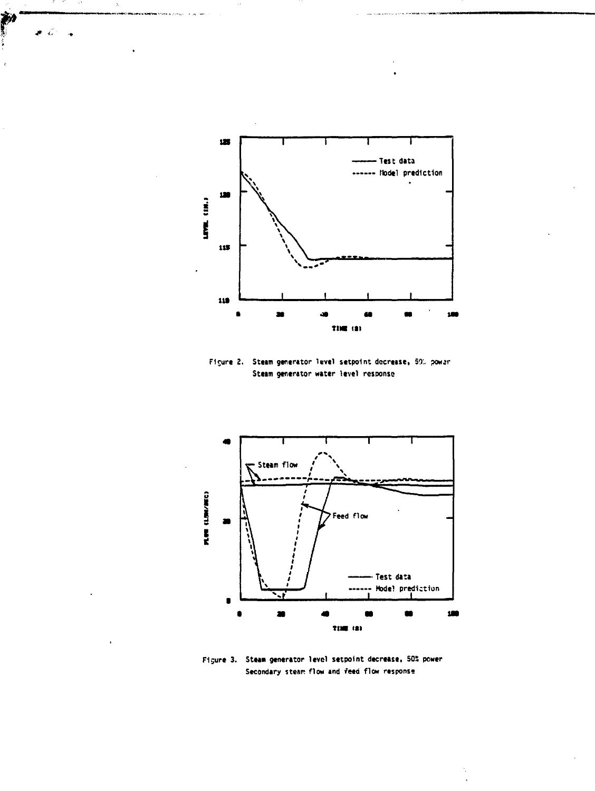

Š.

i)<br>|

- 77

Figure 2. Steam generator level setpoint decrease, 50% power Steam generator water level response



Figure 3. Steam generator level setpoint decrease, 50% power Secondary steam flow and feed flow response